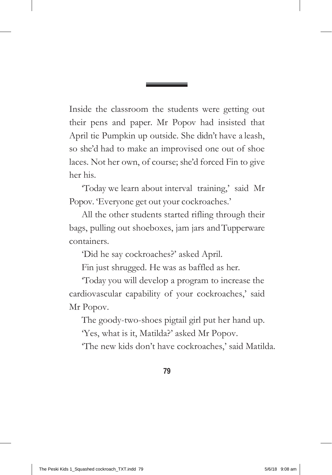Inside the classroom the students were getting out their pens and paper. Mr Popov had insisted that April tie Pumpkin up outside. She didn't have a leash, so she'd had to make an improvised one out of shoe laces. Not her own, of course; she'd forced Fin to give her his.

'Today we learn about interval training,' said Mr Popov. 'Everyone get out your cockroaches.'

All the other students started rifling through their bags, pulling out shoeboxes, jam jars and Tupperware containers.

'Did he say cockroaches?' asked April.

Fin just shrugged. He was as baffled as her.

'Today you will develop a program to increase the cardiovascular capability of your cockroaches,' said Mr Popov.

The goody-two-shoes pigtail girl put her hand up.

'Yes, what is it, Matilda?' asked Mr Popov.

'The new kids don't have cockroaches,' said Matilda.

**79**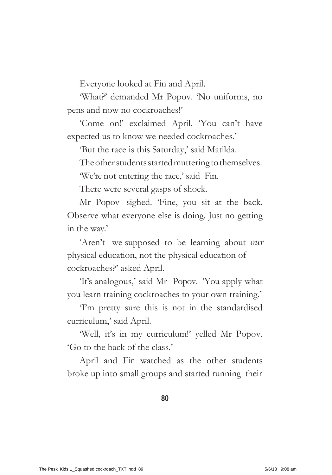Everyone looked at Fin and April.

'What?' demanded Mr Popov. 'No uniforms, no pens and now no cockroaches!'

'Come on!' exclaimed April. 'You can't have expected us to know we needed cockroaches.'

'But the race is this Saturday,' said Matilda.

The other students started muttering to themselves.

'We're not entering the race,' said Fin.

There were several gasps of shock.

Mr Popov sighed. 'Fine, you sit at the back. Observe what everyone else is doing. Just no getting in the way.'

'Aren't we supposed to be learning about *our* physical education, not the physical education of cockroaches?' asked April.

'It's analogous,' said Mr Popov. 'You apply what you learn training cockroaches to your own training.'

'I'm pretty sure this is not in the standardised curriculum,' said April.

'Well, it's in my curriculum!' yelled Mr Popov. 'Go to the back of the class.'

April and Fin watched as the other students broke up into small groups and started running their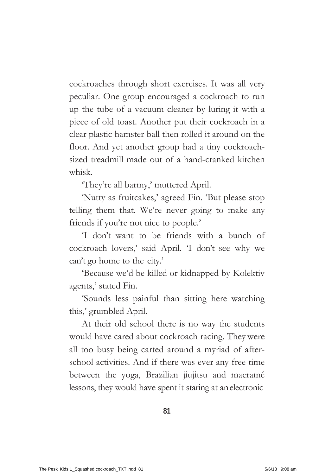cockroaches through short exercises. It was all very peculiar. One group encouraged a cockroach to run up the tube of a vacuum cleaner by luring it with a piece of old toast. Another put their cockroach in a clear plastic hamster ball then rolled it around on the floor. And yet another group had a tiny cockroachsized treadmill made out of a hand-cranked kitchen whisk.

'They're all barmy,' muttered April.

'Nutty as fruitcakes,' agreed Fin. 'But please stop telling them that. We're never going to make any friends if you're not nice to people.'

'I don't want to be friends with a bunch of cockroach lovers,' said April. 'I don't see why we can't go home to the city.'

'Because we'd be killed or kidnapped by Kolektiv agents,' stated Fin.

'Sounds less painful than sitting here watching this,' grumbled April.

At their old school there is no way the students would have cared about cockroach racing. They were all too busy being carted around a myriad of afterschool activities. And if there was ever any free time between the yoga, Brazilian jiujitsu and macramé lessons, they would have spent it staring at anelectronic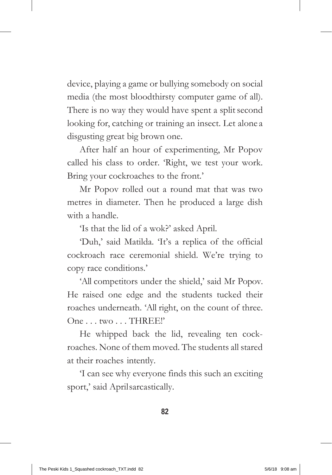device, playing a game or bullying somebody on social media (the most bloodthirsty computer game of all). There is no way they would have spent a split second looking for, catching or training an insect. Let alone a disgusting great big brown one.

After half an hour of experimenting, Mr Popov called his class to order. 'Right, we test your work. Bring your cockroaches to the front.'

Mr Popov rolled out a round mat that was two metres in diameter. Then he produced a large dish with a handle.

'Is that the lid of a wok?' asked April.

'Duh,' said Matilda. 'It's a replica of the official cockroach race ceremonial shield. We're trying to copy race conditions.'

'All competitors under the shield,' said Mr Popov. He raised one edge and the students tucked their roaches underneath. 'All right, on the count of three. One . . . two . . . THREE!'

He whipped back the lid, revealing ten cockroaches. None of them moved. The students all stared at their roaches intently.

'I can see why everyone finds this such an exciting sport,' said Aprilsarcastically.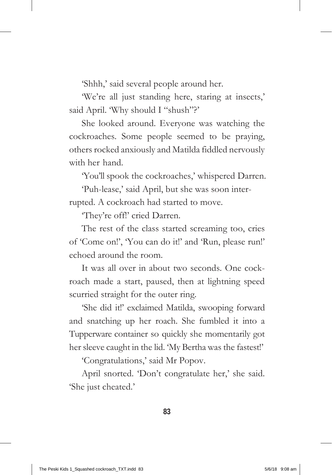'Shhh,' said several people around her.

'We're all just standing here, staring at insects,' said April. 'Why should I "shush"?'

She looked around. Everyone was watching the cockroaches. Some people seemed to be praying, others rocked anxiously and Matilda fiddled nervously with her hand.

'You'll spook the cockroaches,' whispered Darren.

'Puh-lease,' said April, but she was soon interrupted. A cockroach had started to move.

'They're off!' cried Darren.

The rest of the class started screaming too, cries of 'Come on!', 'You can do it!' and 'Run, please run!' echoed around the room.

It was all over in about two seconds. One cockroach made a start, paused, then at lightning speed scurried straight for the outer ring.

'She did it!' exclaimed Matilda, swooping forward and snatching up her roach. She fumbled it into a Tupperware container so quickly she momentarily got her sleeve caught in the lid. 'My Bertha was the fastest!'

'Congratulations,' said Mr Popov.

April snorted. 'Don't congratulate her,' she said. 'She just cheated.'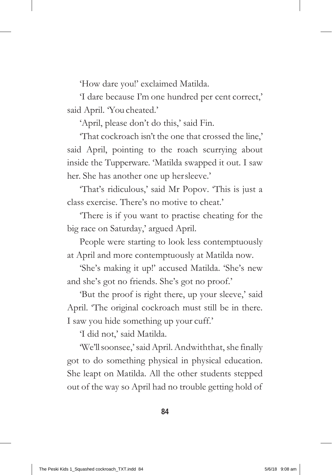'How dare you!' exclaimed Matilda.

'I dare because I'm one hundred per cent correct,' said April. 'You cheated.'

'April, please don't do this,' said Fin.

'That cockroach isn't the one that crossed the line,' said April, pointing to the roach scurrying about inside the Tupperware. 'Matilda swapped it out. I saw her. She has another one up hersleeve.'

'That's ridiculous,' said Mr Popov. 'This is just a class exercise. There's no motive to cheat.'

'There is if you want to practise cheating for the big race on Saturday,' argued April.

People were starting to look less contemptuously at April and more contemptuously at Matilda now.

'She's making it up!' accused Matilda. 'She's new and she's got no friends. She's got no proof.'

'But the proof is right there, up your sleeve,' said April. 'The original cockroach must still be in there. I saw you hide something up your cuff.'

'I did not,' said Matilda.

'We'llsoonsee,'saidApril.Andwiththat, she finally got to do something physical in physical education. She leapt on Matilda. All the other students stepped out of the way so April had no trouble getting hold of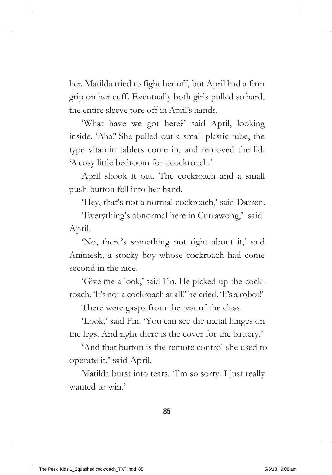her. Matilda tried to fight her off, but April had a firm grip on her cuff. Eventually both girls pulled so hard, the entire sleeve tore off in April's hands.

'What have we got here?' said April, looking inside. 'Aha!' She pulled out a small plastic tube, the type vitamin tablets come in, and removed the lid. 'A cosy little bedroom for acockroach.'

April shook it out. The cockroach and a small push-button fell into her hand.

'Hey, that's not a normal cockroach,' said Darren.

'Everything's abnormal here in Currawong,' said April.

'No, there's something not right about it,' said Animesh, a stocky boy whose cockroach had come second in the race.

'Give me a look,' said Fin. He picked up the cockroach. It's not a cockroach at all!' he cried. It's a robot!'

There were gasps from the rest of the class.

'Look,' said Fin. 'You can see the metal hinges on the legs. And right there is the cover for the battery.'

'And that button is the remote control she used to operate it,' said April.

Matilda burst into tears. 'I'm so sorry. I just really wanted to win.'